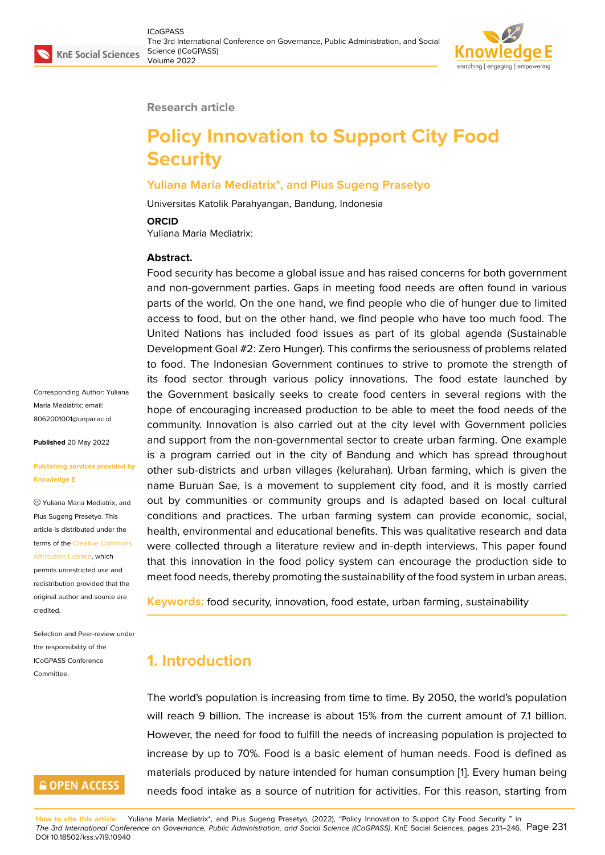

#### **Research article**

# **Policy Innovation to Support City Food Security**

#### **Yuliana Maria Mediatrix\*, and Pius Sugeng Prasetyo**

Universitas Katolik Parahyangan, Bandung, Indonesia

#### **ORCID**

Yuliana Maria Mediatrix:

#### **Abstract.**

Food security has become a global issue and has raised concerns for both government and non-government parties. Gaps in meeting food needs are often found in various parts of the world. On the one hand, we find people who die of hunger due to limited access to food, but on the other hand, we find people who have too much food. The United Nations has included food issues as part of its global agenda (Sustainable Development Goal #2: Zero Hunger). This confirms the seriousness of problems related to food. The Indonesian Government continues to strive to promote the strength of its food sector through various policy innovations. The food estate launched by the Government basically seeks to create food centers in several regions with the hope of encouraging increased production to be able to meet the food needs of the community. Innovation is also carried out at the city level with Government policies and support from the non-governmental sector to create urban farming. One example is a program carried out in the city of Bandung and which has spread throughout other sub-districts and urban villages (kelurahan). Urban farming, which is given the name Buruan Sae, is a movement to supplement city food, and it is mostly carried out by communities or community groups and is adapted based on local cultural conditions and practices. The urban farming system can provide economic, social, health, environmental and educational benefits. This was qualitative research and data were collected through a literature review and in-depth interviews. This paper found that this innovation in the food policy system can encourage the production side to meet food needs, thereby promoting the sustainability of the food system in urban areas.

**Keywords:** food security, innovation, food estate, urban farming, sustainability

# **1. Introduction**

The world's population is increasing from time to time. By 2050, the world's population will reach 9 billion. The increase is about 15% from the current amount of 7.1 billion. However, the need for food to fulfill the needs of increasing population is projected to increase by up to 70%. Food is a basic element of human needs. Food is defined as materials produced by nature intended for human consumption [1]. Every human being needs food intake as a source of nutrition for activities. For this reason, starting from

Corresponding Author: Yuliana Maria Mediatrix; email: 8062001001@unpar.ac.id

**Published** 20 May 2022

#### **[Publishing services provi](mailto:8062001001@unpar.ac.id)ded by Knowledge E**

Yuliana Maria Mediatrix, and Pius Sugeng Prasetyo. This article is distributed under the terms of the Creative Commons

Attribution License, which permits unrestricted use and redistribution provided that the original auth[or and source are](https://creativecommons.org/licenses/by/4.0/) [credited.](https://creativecommons.org/licenses/by/4.0/)

Selection and Peer-review under the responsibility of the ICoGPASS Conference **Committee** 

# **GOPEN ACCESS**

**How to cite this article**: Yuliana Maria Mediatrix\*, and Pius Sugeng Prasetyo, (2022), "Policy Innovation to Support City [Fo](#page-13-0)od Security " in *The 3rd International Conference on Governance, Public Administration, and Social Science (ICoGPASS)*, KnE Social Sciences, pages 231–246. Page 231 DOI 10.18502/kss.v7i9.10940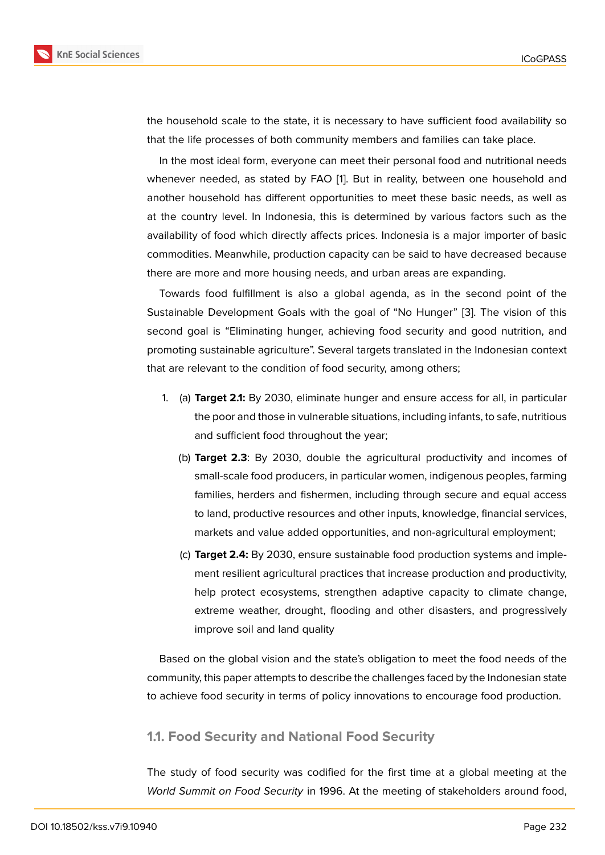the household scale to the state, it is necessary to have sufficient food availability so that the life processes of both community members and families can take place.

In the most ideal form, everyone can meet their personal food and nutritional needs whenever needed, as stated by FAO [1]. But in reality, between one household and another household has different opportunities to meet these basic needs, as well as at the country level. In Indonesia, this is determined by various factors such as the availability of food which directly affect[s](#page-13-0) prices. Indonesia is a major importer of basic commodities. Meanwhile, production capacity can be said to have decreased because there are more and more housing needs, and urban areas are expanding.

Towards food fulfillment is also a global agenda, as in the second point of the Sustainable Development Goals with the goal of "No Hunger" [3]. The vision of this second goal is "Eliminating hunger, achieving food security and good nutrition, and promoting sustainable agriculture". Several targets translated in the Indonesian context that are relevant to the condition of food security, among others;

- 1. (a) **Target 2.1:** By 2030, eliminate hunger and ensure access for all, in particular the poor and those in vulnerable situations, including infants, to safe, nutritious and sufficient food throughout the year;
	- (b) **Target 2.3**: By 2030, double the agricultural productivity and incomes of small-scale food producers, in particular women, indigenous peoples, farming families, herders and fishermen, including through secure and equal access to land, productive resources and other inputs, knowledge, financial services, markets and value added opportunities, and non-agricultural employment;
	- (c) **Target 2.4:** By 2030, ensure sustainable food production systems and implement resilient agricultural practices that increase production and productivity, help protect ecosystems, strengthen adaptive capacity to climate change, extreme weather, drought, flooding and other disasters, and progressively improve soil and land quality

Based on the global vision and the state's obligation to meet the food needs of the community, this paper attempts to describe the challenges faced by the Indonesian state to achieve food security in terms of policy innovations to encourage food production.

#### **1.1. Food Security and National Food Security**

The study of food security was codified for the first time at a global meeting at the *World Summit on Food Security* in 1996. At the meeting of stakeholders around food,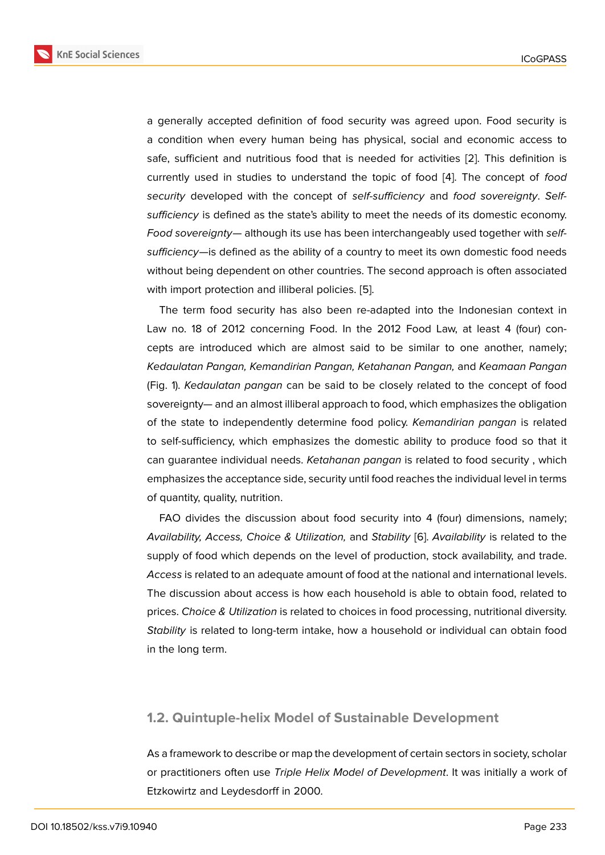a generally accepted definition of food security was agreed upon. Food security is a condition when every human being has physical, social and economic access to safe, sufficient and nutritious food that is needed for activities [2]. This definition is currently used in studies to understand the topic of food [4]. The concept of *food security* developed with the concept of *self-sufficiency* and *food sovereignty*. *Selfsufficiency* is defined as the state's ability to meet the needs of it[s d](#page-13-1)omestic economy. *Food sovereignty*— although its use has been interchangeabl[y](#page-13-2) used together with *selfsufficiency*—is defined as the ability of a country to meet its own domestic food needs without being dependent on other countries. The second approach is often associated with import protection and illiberal policies. [5].

The term food security has also been re-adapted into the Indonesian context in Law no. 18 of 2012 concerning Food. In the 2012 Food Law, at least 4 (four) concepts are introduced which are almost sa[id](#page-13-3) to be similar to one another, namely; *Kedaulatan Pangan, Kemandirian Pangan, Ketahanan Pangan,* and *Keamaan Pangan* (Fig. 1). *Kedaulatan pangan* can be said to be closely related to the concept of food sovereignty— and an almost illiberal approach to food, which emphasizes the obligation of the state to independently determine food policy. *Kemandirian pangan* is related to self-sufficiency, which emphasizes the domestic ability to produce food so that it can guarantee individual needs. *Ketahanan pangan* is related to food security , which emphasizes the acceptance side, security until food reaches the individual level in terms of quantity, quality, nutrition.

FAO divides the discussion about food security into 4 (four) dimensions, namely; *Availability, Access, Choice & Utilization,* and *Stability* [6]. *Availability* is related to the supply of food which depends on the level of production, stock availability, and trade. *Access* is related to an adequate amount of food at the national and international levels. The discussion about access is how each household is [a](#page-13-4)ble to obtain food, related to prices. *Choice & Utilization* is related to choices in food processing, nutritional diversity. *Stability* is related to long-term intake, how a household or individual can obtain food in the long term.

#### **1.2. Quintuple-helix Model of Sustainable Development**

As a framework to describe or map the development of certain sectors in society, scholar or practitioners often use *Triple Helix Model of Development*. It was initially a work of Etzkowirtz and Leydesdorff in 2000.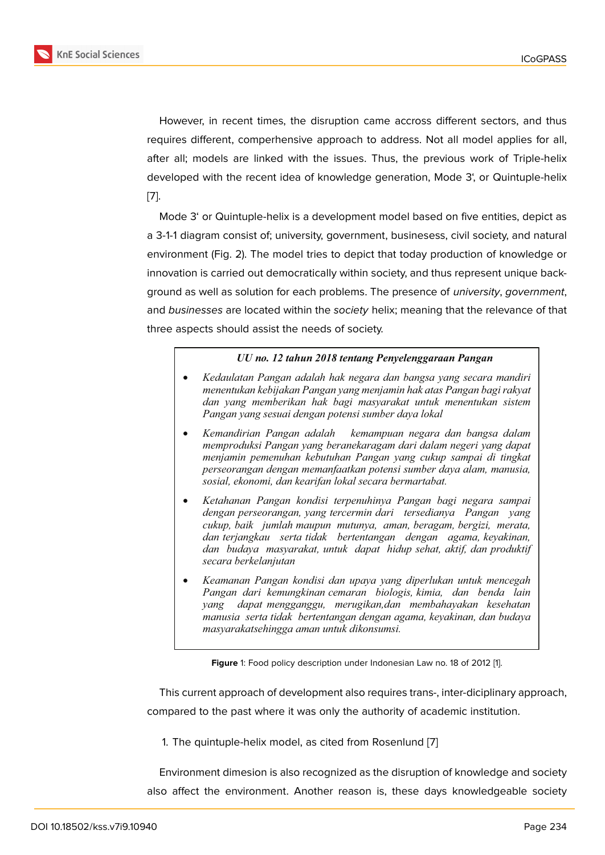However, in recent times, the disruption came accross different sectors, and thus requires different, comperhensive approach to address. Not all model applies for all, after all; models are linked with the issues. Thus, the previous work of Triple-helix developed with the recent idea of knowledge generation, Mode 3', or Quintuple-helix [7].

Mode 3' or Quintuple-helix is a development model based on five entities, depict as a 3-1-1 diagram consist of; university, government, businesess, civil society, and natural [en](#page-14-0)vironment (Fig. 2). The model tries to depict that today production of knowledge or innovation is carried out democratically within society, and thus represent unique background as well as solution for each problems. The presence of *university*, *government*, and *businesses* are located within the *society* helix; meaning that the relevance of that three aspects should assist the needs of society.

#### *UU no. 12 tahun 2018 tentang Penyelenggaraan Pangan*

- · *Kedaulatan Pangan adalah hak negara dan bangsa yang secara mandiri menentukan kebijakan Pangan yang menjamin hak atas Pangan bagi rakyat dan yang memberikan hak bagi masyarakat untuk menentukan sistem Pangan yang sesuai dengan potensi sumber daya lokal*
- · *Kemandirian Pangan adalah kemampuan negara dan bangsa dalam memproduksi Pangan yang beranekaragam dari dalam negeri yang dapat menjamin pemenuhan kebutuhan Pangan yang cukup sampai di tingkat perseorangan dengan memanfaatkan potensi sumber daya alam, manusia, sosial, ekonomi, dan kearifan lokal secara bermartabat.*
- · *Ketahanan Pangan kondisi terpenuhinya Pangan bagi negara sampai dengan perseorangan, yang tercermin dari tersedianya Pangan yang cukup, baik jumlah maupun mutunya, aman, beragam, bergizi, merata, dan terjangkau serta tidak bertentangan dengan agama, keyakinan, dan budaya masyarakat, untuk dapat hidup sehat, aktif, dan produktif secara berkelanjutan*
- · *Keamanan Pangan kondisi dan upaya yang diperlukan untuk mencegah Pangan dari kemungkinan cemaran biologis, kimia, dan benda lain yang dapat mengganggu, merugikan,dan membahayakan kesehatan manusia serta tidak bertentangan dengan agama, keyakinan, dan budaya masyarakatsehingga aman untuk dikonsumsi.*

**Figure** 1: Food policy description under Indonesian Law no. 18 of 2012 [1].

This current approach of development also requires trans-, inter-diciplinary approach, compared to the past where it was only the authority of academic institution.

1. The quintuple-helix model, as cited from Rosenlund [7]

Environment dimesion is also recognized as the disruption of knowledge and society also affect the environment. Another reason is, these [da](#page-14-0)ys knowledgeable society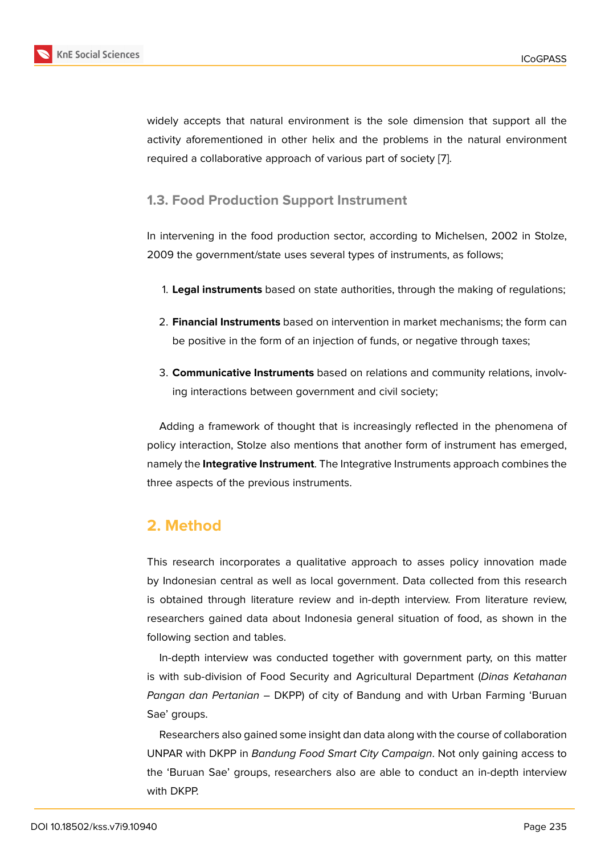widely accepts that natural environment is the sole dimension that support all the activity aforementioned in other helix and the problems in the natural environment required a collaborative approach of various part of society [7].

### **1.3. Food Production Support Instrument**

In intervening in the food production sector, according to Michelsen, 2002 in Stolze, 2009 the government/state uses several types of instruments, as follows;

- 1. **Legal instruments** based on state authorities, through the making of regulations;
- 2. **Financial Instruments** based on intervention in market mechanisms; the form can be positive in the form of an injection of funds, or negative through taxes;
- 3. **Communicative Instruments** based on relations and community relations, involving interactions between government and civil society;

Adding a framework of thought that is increasingly reflected in the phenomena of policy interaction, Stolze also mentions that another form of instrument has emerged, namely the **Integrative Instrument**. The Integrative Instruments approach combines the three aspects of the previous instruments.

# **2. Method**

This research incorporates a qualitative approach to asses policy innovation made by Indonesian central as well as local government. Data collected from this research is obtained through literature review and in-depth interview. From literature review, researchers gained data about Indonesia general situation of food, as shown in the following section and tables.

In-depth interview was conducted together with government party, on this matter is with sub-division of Food Security and Agricultural Department (*Dinas Ketahanan Pangan dan Pertanian –* DKPP) of city of Bandung and with Urban Farming 'Buruan Sae' groups.

Researchers also gained some insight dan data along with the course of collaboration UNPAR with DKPP in *Bandung Food Smart City Campaign*. Not only gaining access to the 'Buruan Sae' groups, researchers also are able to conduct an in-depth interview with DKPP.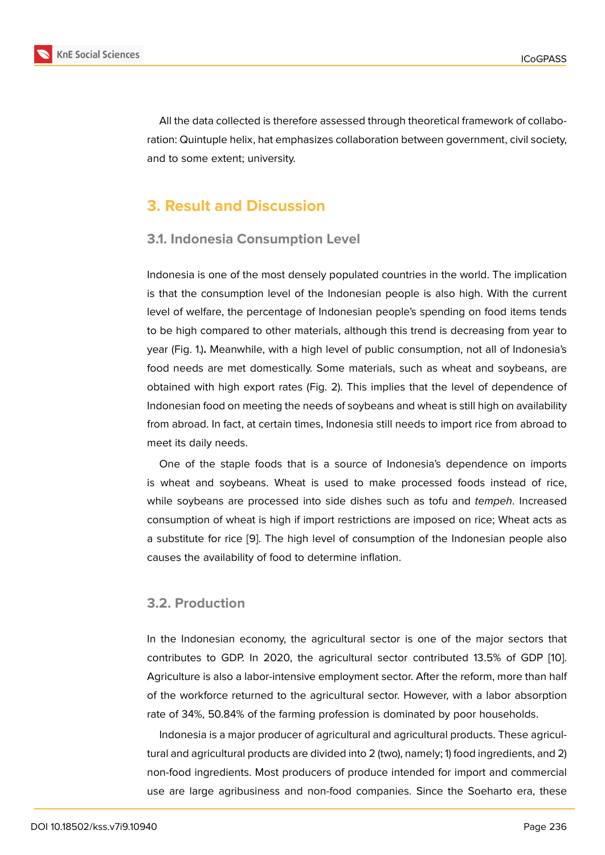All the data collected is therefore assessed through theoretical framework of collaboration: Quintuple helix, hat emphasizes collaboration between government, civil society, and to some extent; university.

# **3. Result and Discussion**

### **3.1. Indonesia Consumption Level**

Indonesia is one of the most densely populated countries in the world. The implication is that the consumption level of the Indonesian people is also high. With the current level of welfare, the percentage of Indonesian people's spending on food items tends to be high compared to other materials, although this trend is decreasing from year to year (Fig. 1.)**.** Meanwhile, with a high level of public consumption, not all of Indonesia's food needs are met domestically. Some materials, such as wheat and soybeans, are obtained with high export rates (Fig. 2). This implies that the level of dependence of Indonesian food on meeting the needs of soybeans and wheat is still high on availability from abroad. In fact, at certain times, Indonesia still needs to import rice from abroad to meet its daily needs.

One of the staple foods that is a source of Indonesia's dependence on imports is wheat and soybeans. Wheat is used to make processed foods instead of rice, while soybeans are processed into side dishes such as tofu and *tempeh*. Increased consumption of wheat is high if import restrictions are imposed on rice; Wheat acts as a substitute for rice [9]. The high level of consumption of the Indonesian people also causes the availability of food to determine inflation.

### **3.2. Production**

In the Indonesian economy, the agricultural sector is one of the major sectors that contributes to GDP. In 2020, the agricultural sector contributed 13.5% of GDP [10]. Agriculture is also a labor-intensive employment sector. After the reform, more than half of the workforce returned to the agricultural sector. However, with a labor absorption rate of 34%, 50.84% of the farming profession is dominated by poor households.

Indonesia is a major producer of agricultural and agricultural products. These agricultural and agricultural products are divided into 2 (two), namely; 1) food ingredients, and 2) non-food ingredients. Most producers of produce intended for import and commercial use are large agribusiness and non-food companies. Since the Soeharto era, these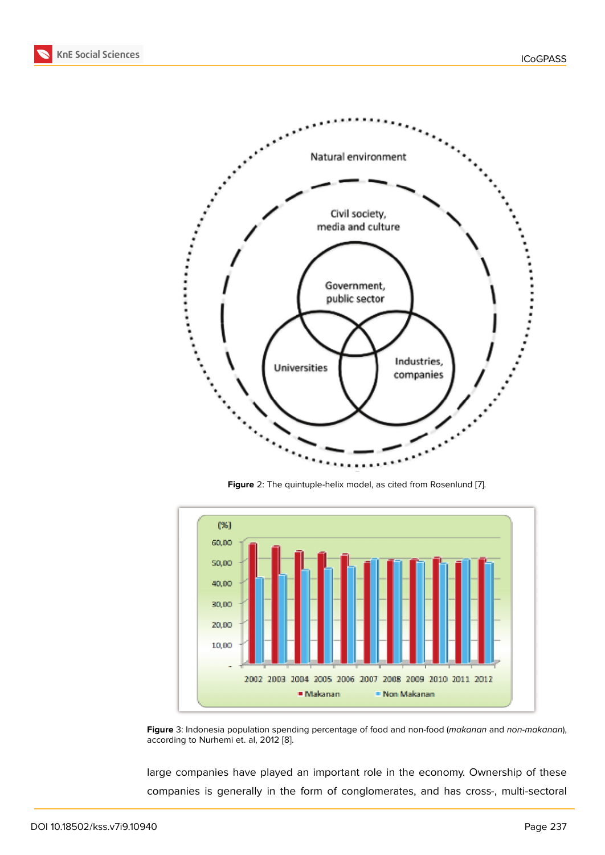

**Figure** 2: The quintuple-helix model, as cited from Rosenlund [7].



**Figure** 3: Indonesia population spending percentage of food and non-food (*makanan* and *non-makanan*), according to Nurhemi et. al, 2012 [8].

large companies have played an important role in the economy. Ownership of these companies is generally in t[h](#page-14-1)e form of conglomerates, and has cross-, multi-sectoral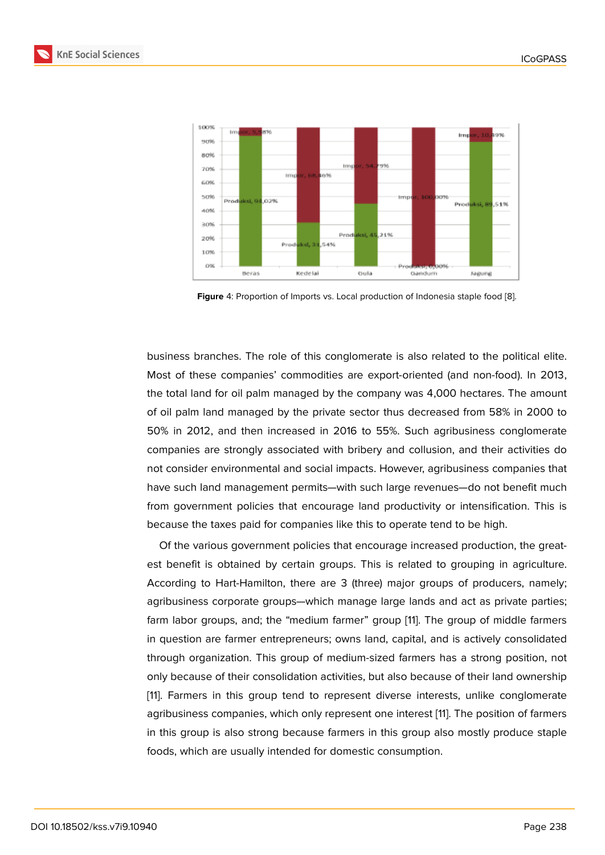

**Figure** 4: Proportion of Imports vs. Local production of Indonesia staple food [8].

business branches. The role of this conglomerate is also related to the [po](#page-14-1)litical elite. Most of these companies' commodities are export-oriented (and non-food). In 2013, the total land for oil palm managed by the company was 4,000 hectares. The amount of oil palm land managed by the private sector thus decreased from 58% in 2000 to 50% in 2012, and then increased in 2016 to 55%. Such agribusiness conglomerate companies are strongly associated with bribery and collusion, and their activities do not consider environmental and social impacts. However, agribusiness companies that have such land management permits—with such large revenues—do not benefit much from government policies that encourage land productivity or intensification. This is because the taxes paid for companies like this to operate tend to be high.

Of the various government policies that encourage increased production, the greatest benefit is obtained by certain groups. This is related to grouping in agriculture. According to Hart-Hamilton, there are 3 (three) major groups of producers, namely; agribusiness corporate groups—which manage large lands and act as private parties; farm labor groups, and; the "medium farmer" group [11]. The group of middle farmers in question are farmer entrepreneurs; owns land, capital, and is actively consolidated through organization. This group of medium-sized farmers has a strong position, not only because of their consolidation activities, but also [b](#page-14-2)ecause of their land ownership [11]. Farmers in this group tend to represent diverse interests, unlike conglomerate agribusiness companies, which only represent one interest [11]. The position of farmers in this group is also strong because farmers in this group also mostly produce staple [foo](#page-14-2)ds, which are usually intended for domestic consumption.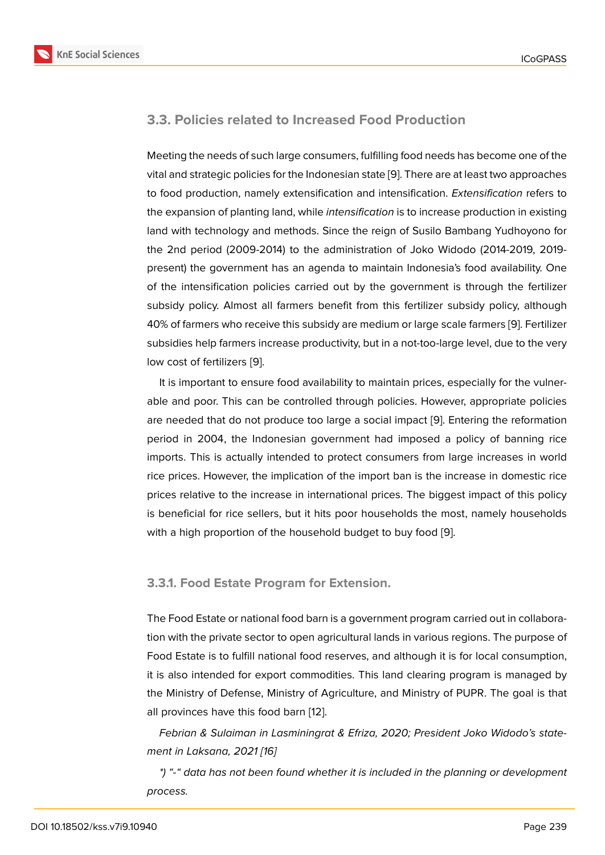#### **3.3. Policies related to Increased Food Production**

Meeting the needs of such large consumers, fulfilling food needs has become one of the vital and strategic policies for the Indonesian state [9]. There are at least two approaches to food production, namely extensification and intensification. *Extensification* refers to the expansion of planting land, while *intensification* is to increase production in existing land with technology and methods. Since the reig[n](#page-14-3) of Susilo Bambang Yudhoyono for the 2nd period (2009-2014) to the administration of Joko Widodo (2014-2019, 2019 present) the government has an agenda to maintain Indonesia's food availability. One of the intensification policies carried out by the government is through the fertilizer subsidy policy. Almost all farmers benefit from this fertilizer subsidy policy, although 40% of farmers who receive this subsidy are medium or large scale farmers [9]. Fertilizer subsidies help farmers increase productivity, but in a not-too-large level, due to the very low cost of fertilizers [9].

It is important to ensure food availability to maintain prices, especially fo[r t](#page-14-3)he vulnerable and poor. This can be controlled through policies. However, appropriate policies are needed that do n[ot](#page-14-3) produce too large a social impact [9]. Entering the reformation period in 2004, the Indonesian government had imposed a policy of banning rice imports. This is actually intended to protect consumers from large increases in world rice prices. However, the implication of the import ban is t[he](#page-14-3) increase in domestic rice prices relative to the increase in international prices. The biggest impact of this policy is beneficial for rice sellers, but it hits poor households the most, namely households with a high proportion of the household budget to buy food [9].

#### **3.3.1. Food Estate Program for Extension.**

The Food Estate or national food barn is a government program carried out in collaboration with the private sector to open agricultural lands in various regions. The purpose of Food Estate is to fulfill national food reserves, and although it is for local consumption, it is also intended for export commodities. This land clearing program is managed by the Ministry of Defense, Ministry of Agriculture, and Ministry of PUPR. The goal is that all provinces have this food barn [12].

*Febrian & Sulaiman in Lasminingrat & Efriza, 2020; President Joko Widodo's statement in Laksana, 2021 [16]*

*\*) "-" data has not been found [whe](#page-14-4)ther it is included in the planning or development process.*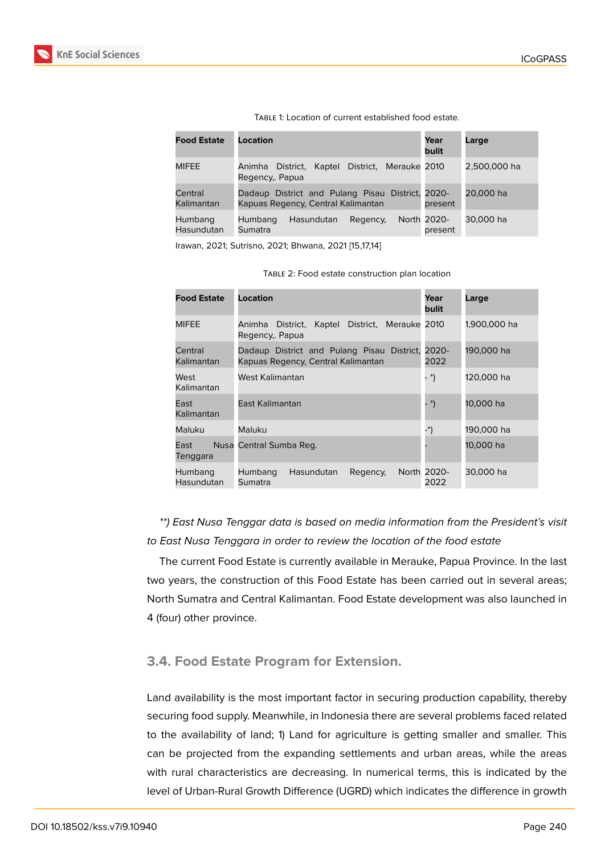

| <b>Food Estate</b>           | Location                                                                               | Year<br>bulit          | Large        |
|------------------------------|----------------------------------------------------------------------------------------|------------------------|--------------|
| MIFEE                        | District. Merauke 2010<br>District, Kaptel<br>Animha<br>Regency, Papua                 |                        | 2,500,000 ha |
| Central<br>Kalimantan        | Dadaup District and Pulang Pisau District, 2020-<br>Kapuas Regency, Central Kalimantan | present                | 20,000 ha    |
| Humbang<br><b>Hasundutan</b> | Humbang<br>Hasundutan<br>Regency.<br>Sumatra                                           | North 2020-<br>present | 30,000 ha    |

Table 1: Location of current established food estate.

Irawan, 2021; Sutrisno, 2021; Bhwana, 2021 [15,17,14]

| <b>Food Estate</b>    | Location                                                                         | Year<br><b>bulit</b> | Large        |
|-----------------------|----------------------------------------------------------------------------------|----------------------|--------------|
| MIFEE                 | District, Merauke 2010<br>Animha District, Kaptel<br>Regency, Papua              |                      | 1,900,000 ha |
| Central<br>Kalimantan | Dadaup District and Pulang Pisau District,<br>Kapuas Regency, Central Kalimantan | 2020-<br>2022        | 190,000 ha   |
| West<br>Kalimantan    | West Kalimantan                                                                  | - *)                 | 120,000 ha   |
| East<br>Kalimantan    | East Kalimantan                                                                  | - *)                 | 10.000 ha    |
| Maluku                | Maluku                                                                           | -*)                  | 190.000 ha   |
| East<br>Tenggara      | Nusa Central Sumba Reg.                                                          |                      | 10.000 ha    |
| Humbang<br>Hasundutan | Hasundutan<br>Humbang<br>Regency.<br>Sumatra                                     | North 2020-<br>2022  | 30,000 ha    |

## *\*\*) East Nusa Tenggar data is based on media information from the President's visit to East Nusa Tenggara in order to review the location of the food estate*

The current Food Estate is currently available in Merauke, Papua Province. In the last two years, the construction of this Food Estate has been carried out in several areas; North Sumatra and Central Kalimantan. Food Estate development was also launched in 4 (four) other province.

## **3.4. Food Estate Program for Extension.**

Land availability is the most important factor in securing production capability, thereby securing food supply. Meanwhile, in Indonesia there are several problems faced related to the availability of land; 1) Land for agriculture is getting smaller and smaller. This can be projected from the expanding settlements and urban areas, while the areas with rural characteristics are decreasing. In numerical terms, this is indicated by the level of Urban-Rural Growth Difference (UGRD) which indicates the difference in growth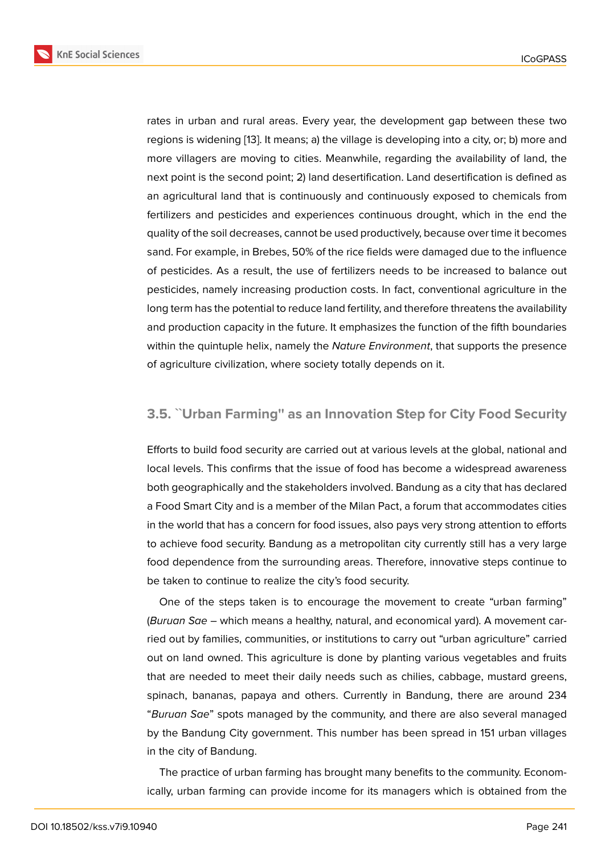rates in urban and rural areas. Every year, the development gap between these two regions is widening [13]. It means; a) the village is developing into a city, or; b) more and more villagers are moving to cities. Meanwhile, regarding the availability of land, the next point is the second point; 2) land desertification. Land desertification is defined as an agricultural land [tha](#page-14-5)t is continuously and continuously exposed to chemicals from fertilizers and pesticides and experiences continuous drought, which in the end the quality of the soil decreases, cannot be used productively, because over time it becomes sand. For example, in Brebes, 50% of the rice fields were damaged due to the influence of pesticides. As a result, the use of fertilizers needs to be increased to balance out pesticides, namely increasing production costs. In fact, conventional agriculture in the long term has the potential to reduce land fertility, and therefore threatens the availability and production capacity in the future. It emphasizes the function of the fifth boundaries within the quintuple helix, namely the *Nature Environment*, that supports the presence of agriculture civilization, where society totally depends on it.

### **3.5. ``Urban Farming'' as an Innovation Step for City Food Security**

Efforts to build food security are carried out at various levels at the global, national and local levels. This confirms that the issue of food has become a widespread awareness both geographically and the stakeholders involved. Bandung as a city that has declared a Food Smart City and is a member of the Milan Pact, a forum that accommodates cities in the world that has a concern for food issues, also pays very strong attention to efforts to achieve food security. Bandung as a metropolitan city currently still has a very large food dependence from the surrounding areas. Therefore, innovative steps continue to be taken to continue to realize the city's food security.

One of the steps taken is to encourage the movement to create "urban farming" (*Buruan Sae* – which means a healthy, natural, and economical yard). A movement carried out by families, communities, or institutions to carry out "urban agriculture" carried out on land owned. This agriculture is done by planting various vegetables and fruits that are needed to meet their daily needs such as chilies, cabbage, mustard greens, spinach, bananas, papaya and others. Currently in Bandung, there are around 234 "*Buruan Sae*" spots managed by the community, and there are also several managed by the Bandung City government. This number has been spread in 151 urban villages in the city of Bandung.

The practice of urban farming has brought many benefits to the community. Economically, urban farming can provide income for its managers which is obtained from the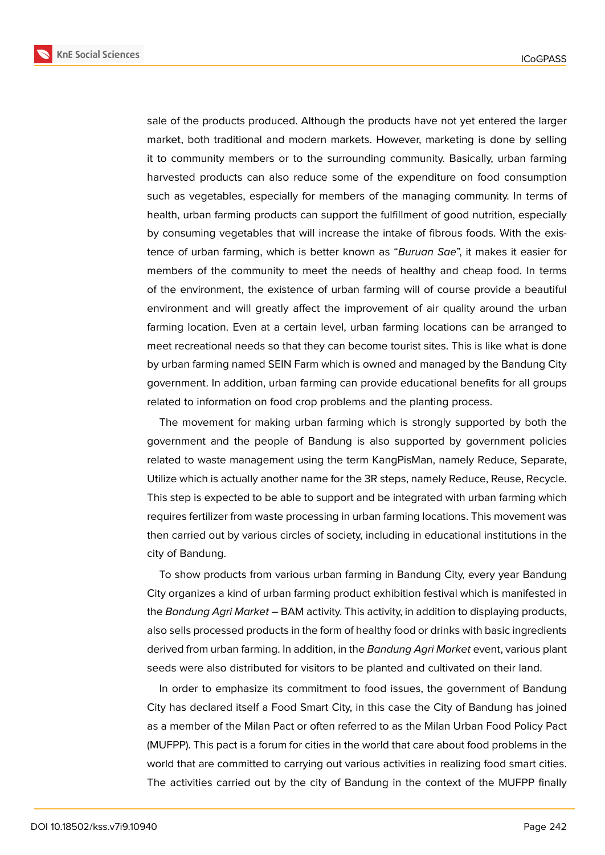**KnE Social Sciences** 



sale of the products produced. Although the products have not yet entered the larger market, both traditional and modern markets. However, marketing is done by selling it to community members or to the surrounding community. Basically, urban farming harvested products can also reduce some of the expenditure on food consumption such as vegetables, especially for members of the managing community. In terms of health, urban farming products can support the fulfillment of good nutrition, especially by consuming vegetables that will increase the intake of fibrous foods. With the existence of urban farming, which is better known as "*Buruan Sae*", it makes it easier for members of the community to meet the needs of healthy and cheap food. In terms of the environment, the existence of urban farming will of course provide a beautiful environment and will greatly affect the improvement of air quality around the urban farming location. Even at a certain level, urban farming locations can be arranged to meet recreational needs so that they can become tourist sites. This is like what is done by urban farming named SEIN Farm which is owned and managed by the Bandung City government. In addition, urban farming can provide educational benefits for all groups related to information on food crop problems and the planting process.

The movement for making urban farming which is strongly supported by both the government and the people of Bandung is also supported by government policies related to waste management using the term KangPisMan, namely Reduce, Separate, Utilize which is actually another name for the 3R steps, namely Reduce, Reuse, Recycle. This step is expected to be able to support and be integrated with urban farming which requires fertilizer from waste processing in urban farming locations. This movement was then carried out by various circles of society, including in educational institutions in the city of Bandung.

To show products from various urban farming in Bandung City, every year Bandung City organizes a kind of urban farming product exhibition festival which is manifested in the *Bandung Agri Market* – BAM activity. This activity, in addition to displaying products, also sells processed products in the form of healthy food or drinks with basic ingredients derived from urban farming. In addition, in the *Bandung Agri Market* event, various plant seeds were also distributed for visitors to be planted and cultivated on their land.

In order to emphasize its commitment to food issues, the government of Bandung City has declared itself a Food Smart City, in this case the City of Bandung has joined as a member of the Milan Pact or often referred to as the Milan Urban Food Policy Pact (MUFPP). This pact is a forum for cities in the world that care about food problems in the world that are committed to carrying out various activities in realizing food smart cities. The activities carried out by the city of Bandung in the context of the MUFPP finally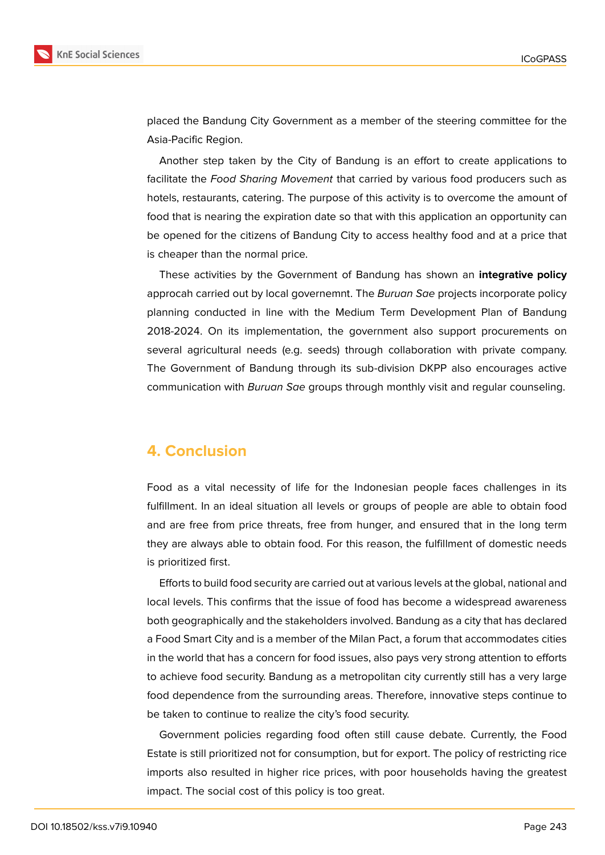

placed the Bandung City Government as a member of the steering committee for the Asia-Pacific Region.

Another step taken by the City of Bandung is an effort to create applications to facilitate the *Food Sharing Movement* that carried by various food producers such as hotels, restaurants, catering. The purpose of this activity is to overcome the amount of food that is nearing the expiration date so that with this application an opportunity can be opened for the citizens of Bandung City to access healthy food and at a price that is cheaper than the normal price.

These activities by the Government of Bandung has shown an **integrative policy** approcah carried out by local governemnt. The *Buruan Sae* projects incorporate policy planning conducted in line with the Medium Term Development Plan of Bandung 2018-2024. On its implementation, the government also support procurements on several agricultural needs (e.g. seeds) through collaboration with private company. The Government of Bandung through its sub-division DKPP also encourages active communication with *Buruan Sae* groups through monthly visit and regular counseling.

### **4. Conclusion**

Food as a vital necessity of life for the Indonesian people faces challenges in its fulfillment. In an ideal situation all levels or groups of people are able to obtain food and are free from price threats, free from hunger, and ensured that in the long term they are always able to obtain food. For this reason, the fulfillment of domestic needs is prioritized first.

Efforts to build food security are carried out at various levels at the global, national and local levels. This confirms that the issue of food has become a widespread awareness both geographically and the stakeholders involved. Bandung as a city that has declared a Food Smart City and is a member of the Milan Pact, a forum that accommodates cities in the world that has a concern for food issues, also pays very strong attention to efforts to achieve food security. Bandung as a metropolitan city currently still has a very large food dependence from the surrounding areas. Therefore, innovative steps continue to be taken to continue to realize the city's food security.

Government policies regarding food often still cause debate. Currently, the Food Estate is still prioritized not for consumption, but for export. The policy of restricting rice imports also resulted in higher rice prices, with poor households having the greatest impact. The social cost of this policy is too great.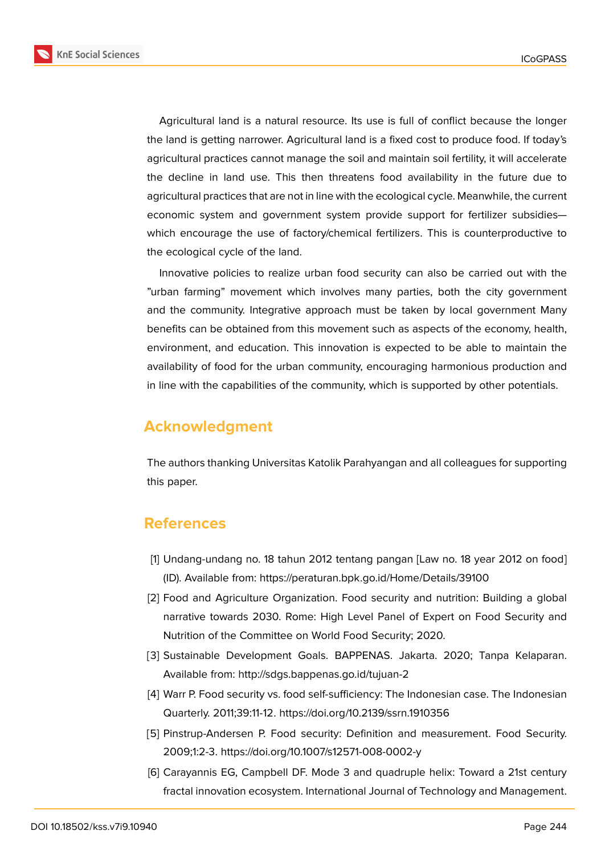**KnE Social Sciences** 



Agricultural land is a natural resource. Its use is full of conflict because the longer the land is getting narrower. Agricultural land is a fixed cost to produce food. If today's agricultural practices cannot manage the soil and maintain soil fertility, it will accelerate the decline in land use. This then threatens food availability in the future due to agricultural practices that are not in line with the ecological cycle. Meanwhile, the current economic system and government system provide support for fertilizer subsidies which encourage the use of factory/chemical fertilizers. This is counterproductive to the ecological cycle of the land.

Innovative policies to realize urban food security can also be carried out with the "urban farming" movement which involves many parties, both the city government and the community. Integrative approach must be taken by local government Many benefits can be obtained from this movement such as aspects of the economy, health, environment, and education. This innovation is expected to be able to maintain the availability of food for the urban community, encouraging harmonious production and in line with the capabilities of the community, which is supported by other potentials.

# **Acknowledgment**

The authors thanking Universitas Katolik Parahyangan and all colleagues for supporting this paper.

## **References**

- <span id="page-13-0"></span>[1] Undang-undang no. 18 tahun 2012 tentang pangan [Law no. 18 year 2012 on food] (ID). Available from: https://peraturan.bpk.go.id/Home/Details/39100
- <span id="page-13-1"></span>[2] Food and Agriculture Organization. Food security and nutrition: Building a global narrative towards 2030. Rome: High Level Panel of Expert on Food Security and Nutrition of the Committee on World Food Security; 2020.
- [3] Sustainable Development Goals. BAPPENAS. Jakarta. 2020; Tanpa Kelaparan. Available from: http://sdgs.bappenas.go.id/tujuan-2
- <span id="page-13-2"></span>[4] Warr P. Food security vs. food self-sufficiency: The Indonesian case. The Indonesian Quarterly. 2011;39:11-12. https://doi.org/10.2139/ssrn.1910356
- <span id="page-13-3"></span>[5] Pinstrup-Andersen P. Food security: Definition and measurement. Food Security. 2009;1:2-3. https://doi.org/10.1007/s12571-008-0002-y
- <span id="page-13-4"></span>[6] Carayannis EG, Campbell DF. Mode 3 and quadruple helix: Toward a 21st century fractal innovation ecosystem. International Journal of Technology and Management.